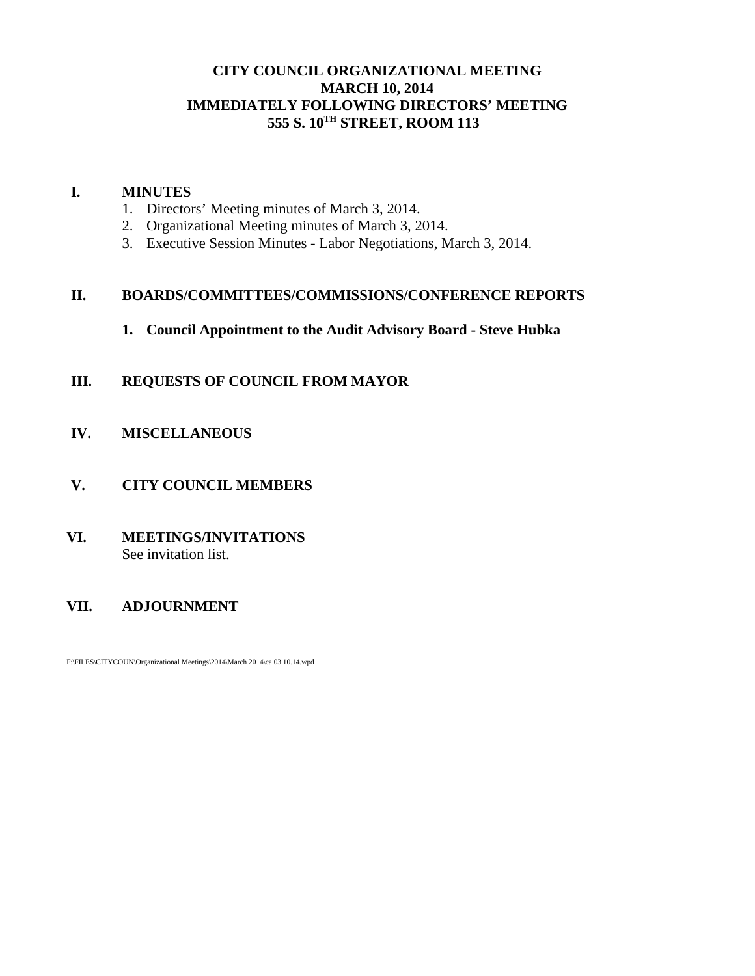### **CITY COUNCIL ORGANIZATIONAL MEETING MARCH 10, 2014 IMMEDIATELY FOLLOWING DIRECTORS' MEETING 555 S. 10TH STREET, ROOM 113**

### **I. MINUTES**

- 1. Directors' Meeting minutes of March 3, 2014.
- 2. Organizational Meeting minutes of March 3, 2014.
- 3. Executive Session Minutes Labor Negotiations, March 3, 2014.

# **II. BOARDS/COMMITTEES/COMMISSIONS/CONFERENCE REPORTS**

**1. Council Appointment to the Audit Advisory Board - Steve Hubka**

# **III. REQUESTS OF COUNCIL FROM MAYOR**

- **IV. MISCELLANEOUS**
- **V. CITY COUNCIL MEMBERS**
- **VI. MEETINGS/INVITATIONS** See invitation list.

# **VII. ADJOURNMENT**

F:\FILES\CITYCOUN\Organizational Meetings\2014\March 2014\ca 03.10.14.wpd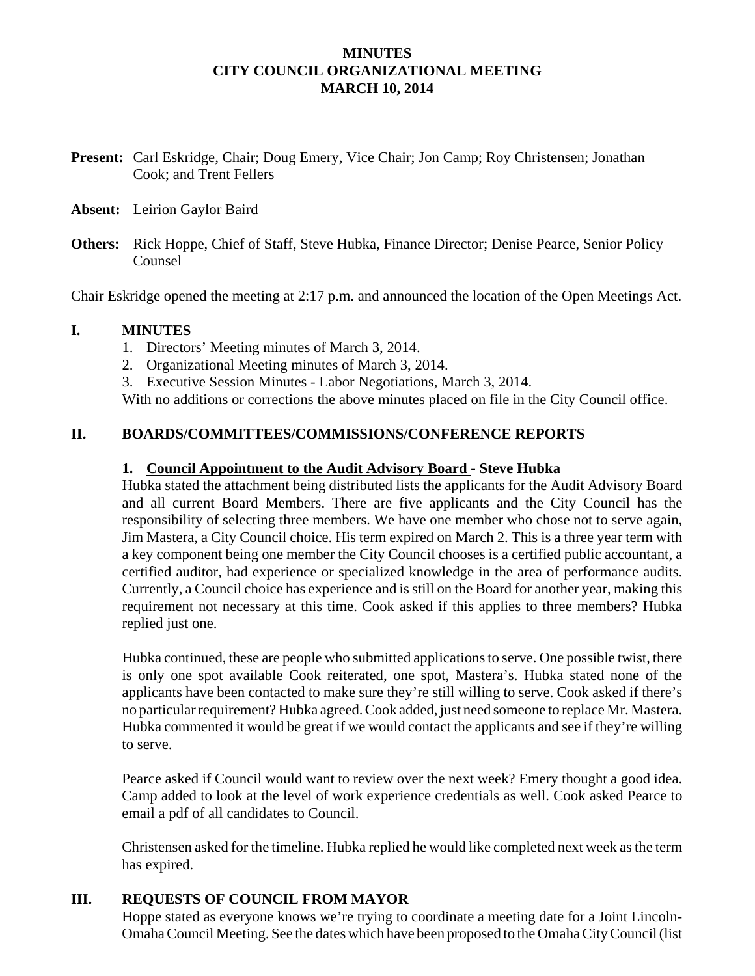### **MINUTES CITY COUNCIL ORGANIZATIONAL MEETING MARCH 10, 2014**

- **Present:** Carl Eskridge, Chair; Doug Emery, Vice Chair; Jon Camp; Roy Christensen; Jonathan Cook; and Trent Fellers
- **Absent:** Leirion Gaylor Baird
- **Others:** Rick Hoppe, Chief of Staff, Steve Hubka, Finance Director; Denise Pearce, Senior Policy Counsel

Chair Eskridge opened the meeting at 2:17 p.m. and announced the location of the Open Meetings Act.

### **I. MINUTES**

- 1. Directors' Meeting minutes of March 3, 2014.
- 2. Organizational Meeting minutes of March 3, 2014.

3. Executive Session Minutes - Labor Negotiations, March 3, 2014.

With no additions or corrections the above minutes placed on file in the City Council office.

# **II. BOARDS/COMMITTEES/COMMISSIONS/CONFERENCE REPORTS**

#### **1. Council Appointment to the Audit Advisory Board - Steve Hubka**

Hubka stated the attachment being distributed lists the applicants for the Audit Advisory Board and all current Board Members. There are five applicants and the City Council has the responsibility of selecting three members. We have one member who chose not to serve again, Jim Mastera, a City Council choice. His term expired on March 2. This is a three year term with a key component being one member the City Council chooses is a certified public accountant, a certified auditor, had experience or specialized knowledge in the area of performance audits. Currently, a Council choice has experience and is still on the Board for another year, making this requirement not necessary at this time. Cook asked if this applies to three members? Hubka replied just one.

Hubka continued, these are people who submitted applications to serve. One possible twist, there is only one spot available Cook reiterated, one spot, Mastera's. Hubka stated none of the applicants have been contacted to make sure they're still willing to serve. Cook asked if there's no particular requirement? Hubka agreed. Cook added, just need someone to replace Mr. Mastera. Hubka commented it would be great if we would contact the applicants and see if they're willing to serve.

Pearce asked if Council would want to review over the next week? Emery thought a good idea. Camp added to look at the level of work experience credentials as well. Cook asked Pearce to email a pdf of all candidates to Council.

Christensen asked for the timeline. Hubka replied he would like completed next week as the term has expired.

# **III. REQUESTS OF COUNCIL FROM MAYOR**

Hoppe stated as everyone knows we're trying to coordinate a meeting date for a Joint Lincoln-Omaha Council Meeting. See the dates which have been proposed to the Omaha City Council (list